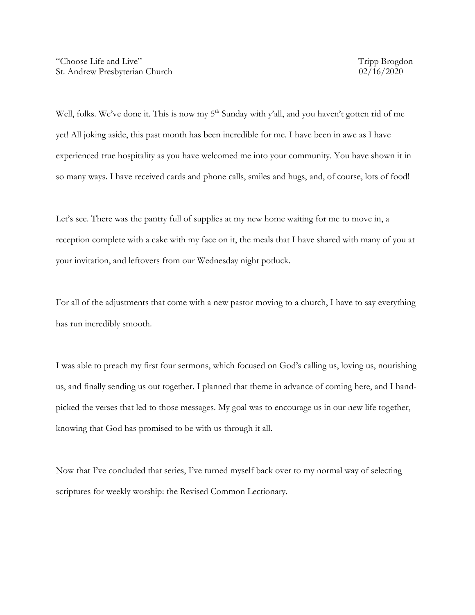Well, folks. We've done it. This is now my 5<sup>th</sup> Sunday with y'all, and you haven't gotten rid of me yet! All joking aside, this past month has been incredible for me. I have been in awe as I have experienced true hospitality as you have welcomed me into your community. You have shown it in so many ways. I have received cards and phone calls, smiles and hugs, and, of course, lots of food!

Let's see. There was the pantry full of supplies at my new home waiting for me to move in, a reception complete with a cake with my face on it, the meals that I have shared with many of you at your invitation, and leftovers from our Wednesday night potluck.

For all of the adjustments that come with a new pastor moving to a church, I have to say everything has run incredibly smooth.

I was able to preach my first four sermons, which focused on God's calling us, loving us, nourishing us, and finally sending us out together. I planned that theme in advance of coming here, and I handpicked the verses that led to those messages. My goal was to encourage us in our new life together, knowing that God has promised to be with us through it all.

Now that I've concluded that series, I've turned myself back over to my normal way of selecting scriptures for weekly worship: the Revised Common Lectionary.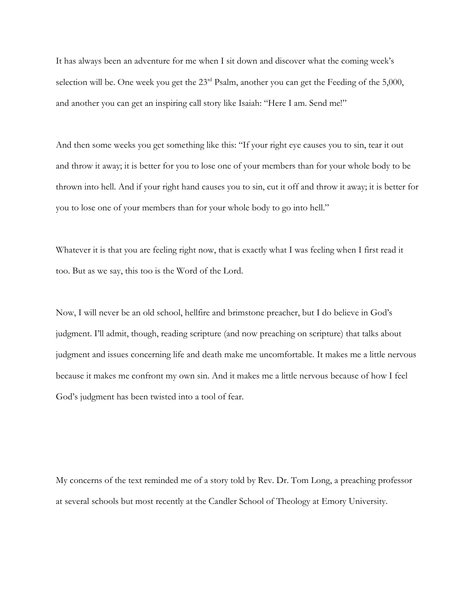It has always been an adventure for me when I sit down and discover what the coming week's selection will be. One week you get the 23<sup>rd</sup> Psalm, another you can get the Feeding of the 5,000, and another you can get an inspiring call story like Isaiah: "Here I am. Send me!"

And then some weeks you get something like this: "If your right eye causes you to sin, tear it out and throw it away; it is better for you to lose one of your members than for your whole body to be thrown into hell. And if your right hand causes you to sin, cut it off and throw it away; it is better for you to lose one of your members than for your whole body to go into hell."

Whatever it is that you are feeling right now, that is exactly what I was feeling when I first read it too. But as we say, this too is the Word of the Lord.

Now, I will never be an old school, hellfire and brimstone preacher, but I do believe in God's judgment. I'll admit, though, reading scripture (and now preaching on scripture) that talks about judgment and issues concerning life and death make me uncomfortable. It makes me a little nervous because it makes me confront my own sin. And it makes me a little nervous because of how I feel God's judgment has been twisted into a tool of fear.

My concerns of the text reminded me of a story told by Rev. Dr. Tom Long, a preaching professor at several schools but most recently at the Candler School of Theology at Emory University.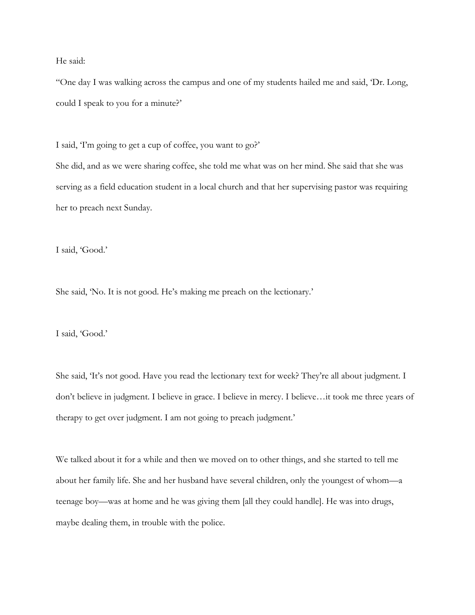He said:

"One day I was walking across the campus and one of my students hailed me and said, 'Dr. Long, could I speak to you for a minute?'

I said, 'I'm going to get a cup of coffee, you want to go?'

She did, and as we were sharing coffee, she told me what was on her mind. She said that she was serving as a field education student in a local church and that her supervising pastor was requiring her to preach next Sunday.

I said, 'Good.'

She said, 'No. It is not good. He's making me preach on the lectionary.'

I said, 'Good.'

She said, 'It's not good. Have you read the lectionary text for week? They're all about judgment. I don't believe in judgment. I believe in grace. I believe in mercy. I believe…it took me three years of therapy to get over judgment. I am not going to preach judgment.'

We talked about it for a while and then we moved on to other things, and she started to tell me about her family life. She and her husband have several children, only the youngest of whom—a teenage boy—was at home and he was giving them [all they could handle]. He was into drugs, maybe dealing them, in trouble with the police.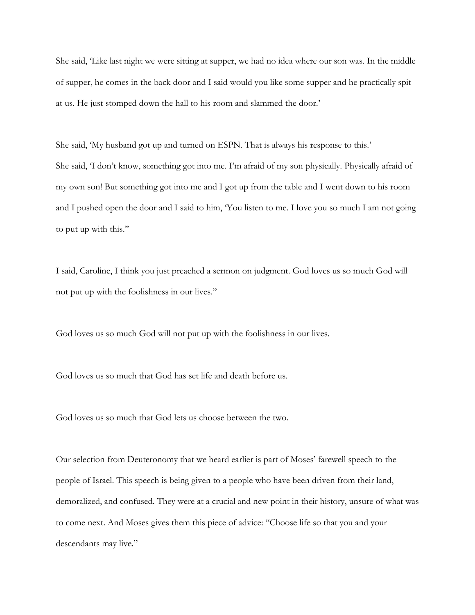She said, 'Like last night we were sitting at supper, we had no idea where our son was. In the middle of supper, he comes in the back door and I said would you like some supper and he practically spit at us. He just stomped down the hall to his room and slammed the door.'

She said, 'My husband got up and turned on ESPN. That is always his response to this.' She said, 'I don't know, something got into me. I'm afraid of my son physically. Physically afraid of my own son! But something got into me and I got up from the table and I went down to his room and I pushed open the door and I said to him, 'You listen to me. I love you so much I am not going to put up with this.''

I said, Caroline, I think you just preached a sermon on judgment. God loves us so much God will not put up with the foolishness in our lives."

God loves us so much God will not put up with the foolishness in our lives.

God loves us so much that God has set life and death before us.

God loves us so much that God lets us choose between the two.

Our selection from Deuteronomy that we heard earlier is part of Moses' farewell speech to the people of Israel. This speech is being given to a people who have been driven from their land, demoralized, and confused. They were at a crucial and new point in their history, unsure of what was to come next. And Moses gives them this piece of advice: "Choose life so that you and your descendants may live."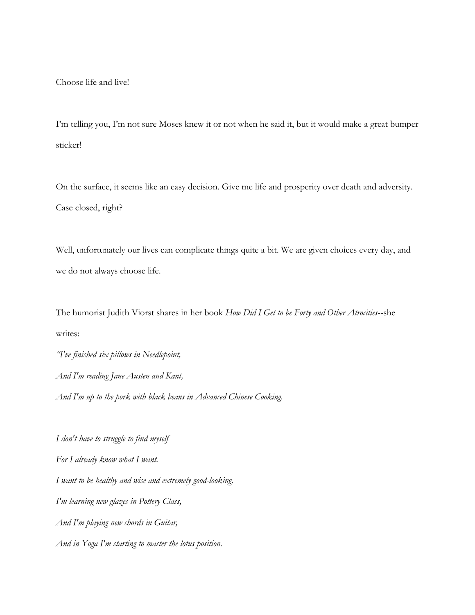Choose life and live!

I'm telling you, I'm not sure Moses knew it or not when he said it, but it would make a great bumper sticker!

On the surface, it seems like an easy decision. Give me life and prosperity over death and adversity. Case closed, right?

Well, unfortunately our lives can complicate things quite a bit. We are given choices every day, and we do not always choose life.

The humorist Judith Viorst shares in her book *How Did I Get to be Forty and Other Atrocities*--she writes:

*"I've finished six pillows in Needlepoint, And I'm reading Jane Austen and Kant, And I'm up to the pork with black beans in Advanced Chinese Cooking.*

*I don't have to struggle to find myself For I already know what I want. I want to be healthy and wise and extremely good-looking. I'm learning new glazes in Pottery Class, And I'm playing new chords in Guitar, And in Yoga I'm starting to master the lotus position.*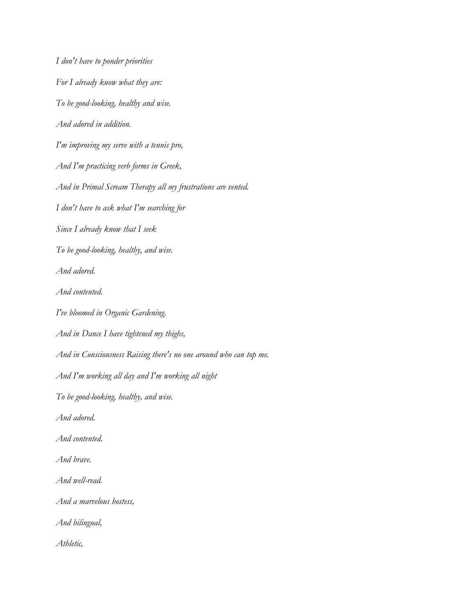*I don't have to ponder priorities For I already know what they are: To be good-looking, healthy and wise. And adored in addition. I'm improving my serve with a tennis pro, And I'm practicing verb forms in Greek, And in Primal Scream Therapy all my frustrations are vented. I don't have to ask what I'm searching for Since I already know that I seek To be good-looking, healthy, and wise. And adored. And contented. I've bloomed in Organic Gardening. And in Dance I have tightened my thighs, And in Consciousness Raising there's no one around who can top me. And I'm working all day and I'm working all night To be good-looking, healthy, and wise. And adored. And contented. And brave. And well-read. And a marvelous hostess, And bilingual, Athletic,*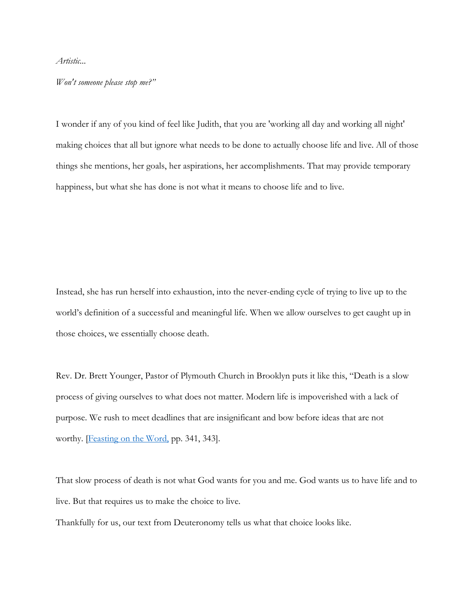*Artistic...*

*Won't someone please stop me?"*

I wonder if any of you kind of feel like Judith, that you are 'working all day and working all night' making choices that all but ignore what needs to be done to actually choose life and live. All of those things she mentions, her goals, her aspirations, her accomplishments. That may provide temporary happiness, but what she has done is not what it means to choose life and to live.

Instead, she has run herself into exhaustion, into the never-ending cycle of trying to live up to the world's definition of a successful and meaningful life. When we allow ourselves to get caught up in those choices, we essentially choose death.

Rev. Dr. Brett Younger, Pastor of Plymouth Church in Brooklyn puts it like this, "Death is a slow process of giving ourselves to what does not matter. Modern life is impoverished with a lack of purpose. We rush to meet deadlines that are insignificant and bow before ideas that are not worthy. **Feasting on the Word**, pp. 341, 343.

That slow process of death is not what God wants for you and me. God wants us to have life and to live. But that requires us to make the choice to live.

Thankfully for us, our text from Deuteronomy tells us what that choice looks like.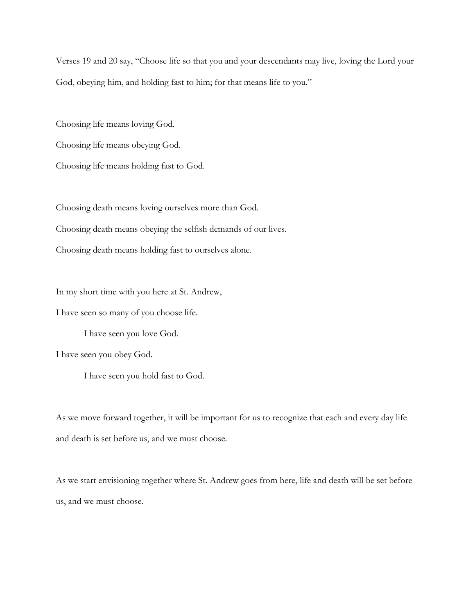Verses 19 and 20 say, "Choose life so that you and your descendants may live, loving the Lord your God, obeying him, and holding fast to him; for that means life to you."

Choosing life means loving God.

Choosing life means obeying God.

Choosing life means holding fast to God.

Choosing death means loving ourselves more than God. Choosing death means obeying the selfish demands of our lives. Choosing death means holding fast to ourselves alone.

In my short time with you here at St. Andrew,

I have seen so many of you choose life.

I have seen you love God.

I have seen you obey God.

I have seen you hold fast to God.

As we move forward together, it will be important for us to recognize that each and every day life and death is set before us, and we must choose.

As we start envisioning together where St. Andrew goes from here, life and death will be set before us, and we must choose.